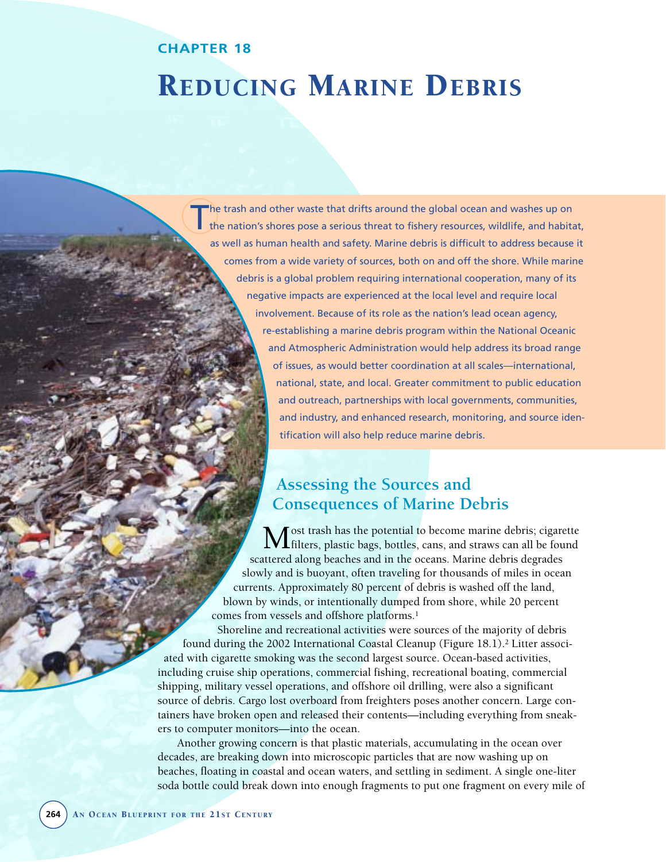### **CHAPTER 18**

# REDUCING MARINE DEBRIS

The trash and other waste that drifts around the global ocean and washes up on the nation's shores pose a serious threat to fishery resources, wildlife, and habitat, as well as human health and safety. Marine debris is difficult to address because it comes from a wide variety of sources, both on and off the shore. While marine debris is a global problem requiring international cooperation, many of its negative impacts are experienced at the local level and require local involvement. Because of its role as the nation's lead ocean agency, re-establishing a marine debris program within the National Oceanic and Atmospheric Administration would help address its broad range of issues, as would better coordination at all scales—international, national, state, and local. Greater commitment to public education and outreach, partnerships with local governments, communities, and industry, and enhanced research, monitoring, and source identification will also help reduce marine debris.

# **Assessing the Sources and Consequences of Marine Debris**

Most trash has the potential to become marine debris; cigarette filters, plastic bags, bottles, cans, and straws can all be found scattered along beaches and in the oceans. Marine debris degrades slowly and is buoyant, often traveling for thousands of miles in ocean currents. Approximately 80 percent of debris is washed off the land, blown by winds, or intentionally dumped from shore, while 20 percent comes from vessels and offshore platforms.<sup>1</sup>

Shoreline and recreational activities were sources of the majority of debris found during the 2002 International Coastal Cleanup (Figure 18.1).<sup>2</sup> Litter associated with cigarette smoking was the second largest source. Ocean-based activities, including cruise ship operations, commercial fishing, recreational boating, commercial shipping, military vessel operations, and offshore oil drilling, were also a significant source of debris. Cargo lost overboard from freighters poses another concern. Large containers have broken open and released their contents—including everything from sneakers to computer monitors—into the ocean.

Another growing concern is that plastic materials, accumulating in the ocean over decades, are breaking down into microscopic particles that are now washing up on beaches, floating in coastal and ocean waters, and settling in sediment. A single one-liter soda bottle could break down into enough fragments to put one fragment on every mile of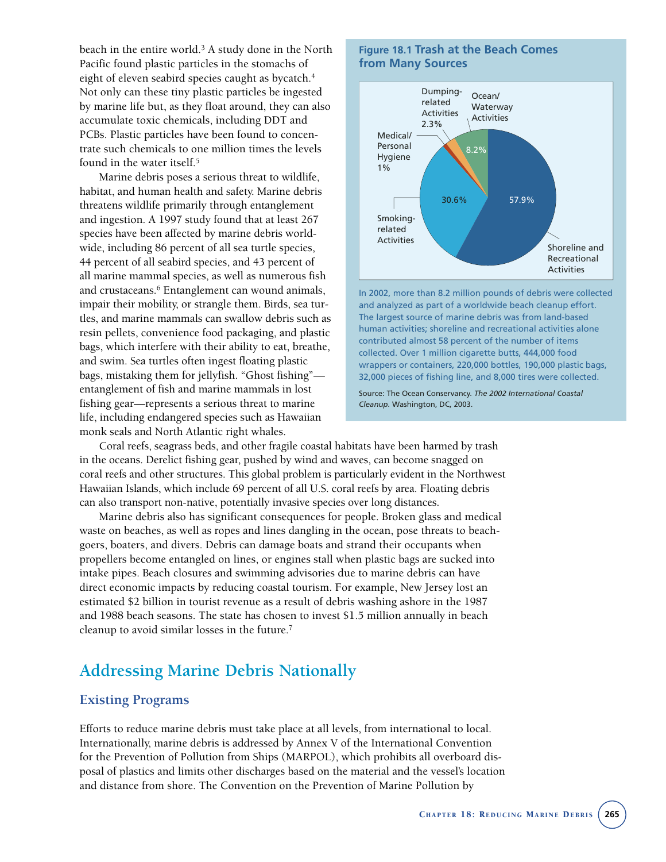beach in the entire world.<sup>3</sup> A study done in the North Pacific found plastic particles in the stomachs of eight of eleven seabird species caught as bycatch.<sup>4</sup> Not only can these tiny plastic particles be ingested by marine life but, as they float around, they can also accumulate toxic chemicals, including DDT and PCBs. Plastic particles have been found to concentrate such chemicals to one million times the levels found in the water itself.<sup>5</sup>

Marine debris poses a serious threat to wildlife, habitat, and human health and safety. Marine debris threatens wildlife primarily through entanglement and ingestion. A 1997 study found that at least 267 species have been affected by marine debris worldwide, including 86 percent of all sea turtle species, 44 percent of all seabird species, and 43 percent of all marine mammal species, as well as numerous fish and crustaceans.<sup>6</sup> Entanglement can wound animals, impair their mobility, or strangle them. Birds, sea turtles, and marine mammals can swallow debris such as resin pellets, convenience food packaging, and plastic bags, which interfere with their ability to eat, breathe, and swim. Sea turtles often ingest floating plastic bags, mistaking them for jellyfish. "Ghost fishing" entanglement of fish and marine mammals in lost fishing gear—represents a serious threat to marine life, including endangered species such as Hawaiian monk seals and North Atlantic right whales.

### **Figure 18.1 Trash at the Beach Comes from Many Sources**



In 2002, more than 8.2 million pounds of debris were collected and analyzed as part of a worldwide beach cleanup effort. The largest source of marine debris was from land-based human activities; shoreline and recreational activities alone contributed almost 58 percent of the number of items collected. Over 1 million cigarette butts, 444,000 food wrappers or containers, 220,000 bottles, 190,000 plastic bags, 32,000 pieces of fishing line, and 8,000 tires were collected.

Source: The Ocean Conservancy. *The 2002 International Coastal Cleanup.* Washington, DC, 2003.

Coral reefs, seagrass beds, and other fragile coastal habitats have been harmed by trash in the oceans. Derelict fishing gear, pushed by wind and waves, can become snagged on coral reefs and other structures. This global problem is particularly evident in the Northwest Hawaiian Islands, which include 69 percent of all U.S. coral reefs by area. Floating debris can also transport non-native, potentially invasive species over long distances.

Marine debris also has significant consequences for people. Broken glass and medical waste on beaches, as well as ropes and lines dangling in the ocean, pose threats to beachgoers, boaters, and divers. Debris can damage boats and strand their occupants when propellers become entangled on lines, or engines stall when plastic bags are sucked into intake pipes. Beach closures and swimming advisories due to marine debris can have direct economic impacts by reducing coastal tourism. For example, New Jersey lost an estimated \$2 billion in tourist revenue as a result of debris washing ashore in the 1987 and 1988 beach seasons. The state has chosen to invest \$1.5 million annually in beach cleanup to avoid similar losses in the future.7

# **Addressing Marine Debris Nationally**

### **Existing Programs**

Efforts to reduce marine debris must take place at all levels, from international to local. Internationally, marine debris is addressed by Annex V of the International Convention for the Prevention of Pollution from Ships (MARPOL), which prohibits all overboard disposal of plastics and limits other discharges based on the material and the vessel's location and distance from shore. The Convention on the Prevention of Marine Pollution by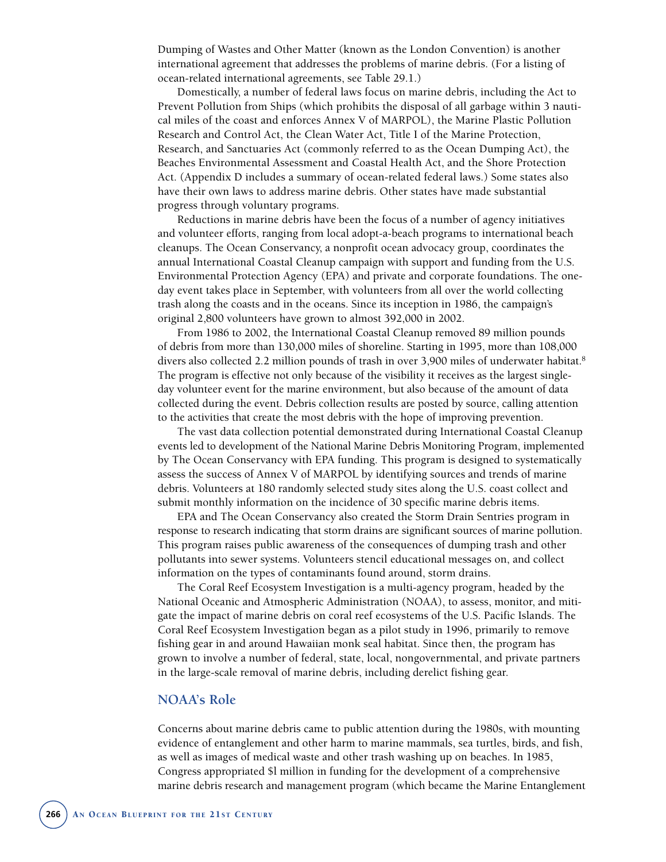Dumping of Wastes and Other Matter (known as the London Convention) is another international agreement that addresses the problems of marine debris. (For a listing of ocean-related international agreements, see Table 29.1.)

Domestically, a number of federal laws focus on marine debris, including the Act to Prevent Pollution from Ships (which prohibits the disposal of all garbage within 3 nautical miles of the coast and enforces Annex V of MARPOL), the Marine Plastic Pollution Research and Control Act, the Clean Water Act, Title I of the Marine Protection, Research, and Sanctuaries Act (commonly referred to as the Ocean Dumping Act), the Beaches Environmental Assessment and Coastal Health Act, and the Shore Protection Act. (Appendix D includes a summary of ocean-related federal laws.) Some states also have their own laws to address marine debris. Other states have made substantial progress through voluntary programs.

Reductions in marine debris have been the focus of a number of agency initiatives and volunteer efforts, ranging from local adopt-a-beach programs to international beach cleanups. The Ocean Conservancy, a nonprofit ocean advocacy group, coordinates the annual International Coastal Cleanup campaign with support and funding from the U.S. Environmental Protection Agency (EPA) and private and corporate foundations. The oneday event takes place in September, with volunteers from all over the world collecting trash along the coasts and in the oceans. Since its inception in 1986, the campaign's original 2,800 volunteers have grown to almost 392,000 in 2002.

From 1986 to 2002, the International Coastal Cleanup removed 89 million pounds of debris from more than 130,000 miles of shoreline. Starting in 1995, more than 108,000 divers also collected 2.2 million pounds of trash in over 3,900 miles of underwater habitat.<sup>8</sup> The program is effective not only because of the visibility it receives as the largest singleday volunteer event for the marine environment, but also because of the amount of data collected during the event. Debris collection results are posted by source, calling attention to the activities that create the most debris with the hope of improving prevention.

The vast data collection potential demonstrated during International Coastal Cleanup events led to development of the National Marine Debris Monitoring Program, implemented by The Ocean Conservancy with EPA funding. This program is designed to systematically assess the success of Annex V of MARPOL by identifying sources and trends of marine debris. Volunteers at 180 randomly selected study sites along the U.S. coast collect and submit monthly information on the incidence of 30 specific marine debris items.

EPA and The Ocean Conservancy also created the Storm Drain Sentries program in response to research indicating that storm drains are significant sources of marine pollution. This program raises public awareness of the consequences of dumping trash and other pollutants into sewer systems. Volunteers stencil educational messages on, and collect information on the types of contaminants found around, storm drains.

The Coral Reef Ecosystem Investigation is a multi-agency program, headed by the National Oceanic and Atmospheric Administration (NOAA), to assess, monitor, and mitigate the impact of marine debris on coral reef ecosystems of the U.S. Pacific Islands. The Coral Reef Ecosystem Investigation began as a pilot study in 1996, primarily to remove fishing gear in and around Hawaiian monk seal habitat. Since then, the program has grown to involve a number of federal, state, local, nongovernmental, and private partners in the large-scale removal of marine debris, including derelict fishing gear.

### **NOAA's Role**

Concerns about marine debris came to public attention during the 1980s, with mounting evidence of entanglement and other harm to marine mammals, sea turtles, birds, and fish, as well as images of medical waste and other trash washing up on beaches. In 1985, Congress appropriated \$l million in funding for the development of a comprehensive marine debris research and management program (which became the Marine Entanglement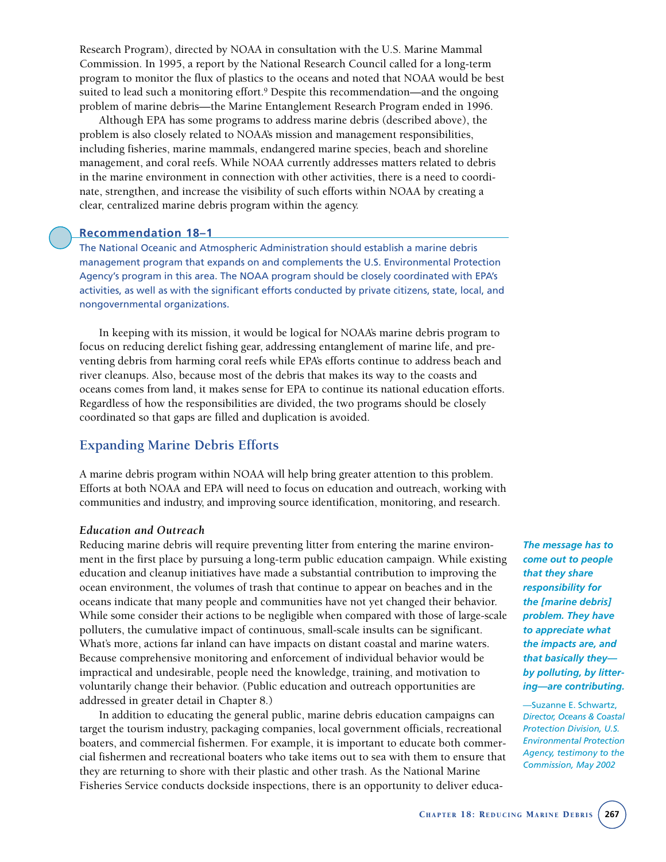Research Program), directed by NOAA in consultation with the U.S. Marine Mammal Commission. In 1995, a report by the National Research Council called for a long-term program to monitor the flux of plastics to the oceans and noted that NOAA would be best suited to lead such a monitoring effort.<sup>9</sup> Despite this recommendation—and the ongoing problem of marine debris—the Marine Entanglement Research Program ended in 1996.

Although EPA has some programs to address marine debris (described above), the problem is also closely related to NOAA's mission and management responsibilities, including fisheries, marine mammals, endangered marine species, beach and shoreline management, and coral reefs. While NOAA currently addresses matters related to debris in the marine environment in connection with other activities, there is a need to coordinate, strengthen, and increase the visibility of such efforts within NOAA by creating a clear, centralized marine debris program within the agency.

#### **Recommendation 18–1**

The National Oceanic and Atmospheric Administration should establish a marine debris management program that expands on and complements the U.S. Environmental Protection Agency's program in this area. The NOAA program should be closely coordinated with EPA's activities, as well as with the significant efforts conducted by private citizens, state, local, and nongovernmental organizations.

In keeping with its mission, it would be logical for NOAA's marine debris program to focus on reducing derelict fishing gear, addressing entanglement of marine life, and preventing debris from harming coral reefs while EPA's efforts continue to address beach and river cleanups. Also, because most of the debris that makes its way to the coasts and oceans comes from land, it makes sense for EPA to continue its national education efforts. Regardless of how the responsibilities are divided, the two programs should be closely coordinated so that gaps are filled and duplication is avoided.

### **Expanding Marine Debris Efforts**

A marine debris program within NOAA will help bring greater attention to this problem. Efforts at both NOAA and EPA will need to focus on education and outreach, working with communities and industry, and improving source identification, monitoring, and research.

#### *Education and Outreach*

Reducing marine debris will require preventing litter from entering the marine environment in the first place by pursuing a long-term public education campaign. While existing education and cleanup initiatives have made a substantial contribution to improving the ocean environment, the volumes of trash that continue to appear on beaches and in the oceans indicate that many people and communities have not yet changed their behavior. While some consider their actions to be negligible when compared with those of large-scale polluters, the cumulative impact of continuous, small-scale insults can be significant. What's more, actions far inland can have impacts on distant coastal and marine waters. Because comprehensive monitoring and enforcement of individual behavior would be impractical and undesirable, people need the knowledge, training, and motivation to voluntarily change their behavior. (Public education and outreach opportunities are addressed in greater detail in Chapter 8.)

In addition to educating the general public, marine debris education campaigns can target the tourism industry, packaging companies, local government officials, recreational boaters, and commercial fishermen. For example, it is important to educate both commercial fishermen and recreational boaters who take items out to sea with them to ensure that they are returning to shore with their plastic and other trash. As the National Marine Fisheries Service conducts dockside inspections, there is an opportunity to deliver educa-

*The message has to come out to people that they share responsibility for the [marine debris] problem. They have to appreciate what the impacts are, and that basically they by polluting, by littering—are contributing.*

—Suzanne E. Schwartz, *Director, Oceans & Coastal Protection Division, U.S. Environmental Protection Agency, testimony to the Commission, May 2002*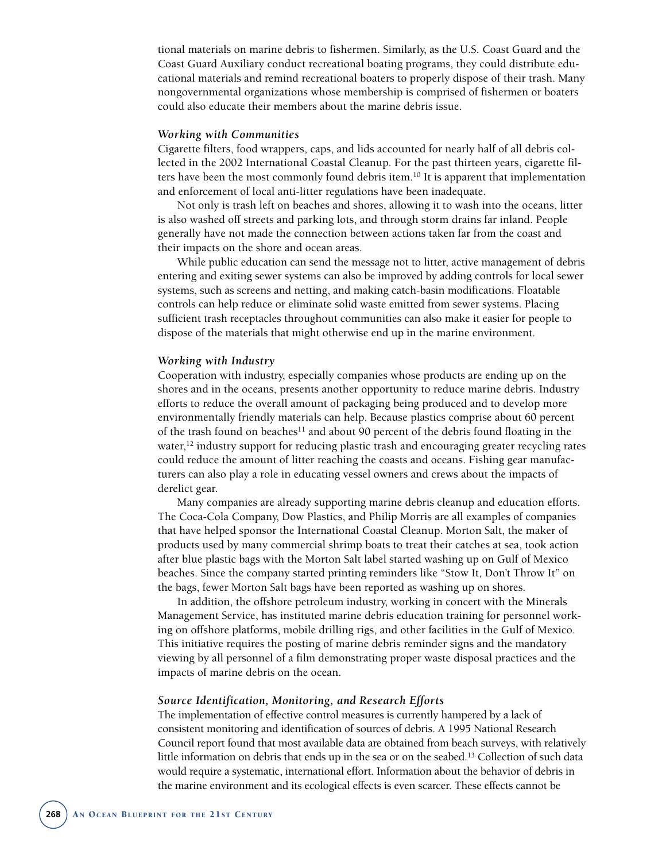tional materials on marine debris to fishermen. Similarly, as the U.S. Coast Guard and the Coast Guard Auxiliary conduct recreational boating programs, they could distribute educational materials and remind recreational boaters to properly dispose of their trash. Many nongovernmental organizations whose membership is comprised of fishermen or boaters could also educate their members about the marine debris issue.

#### *Working with Communities*

Cigarette filters, food wrappers, caps, and lids accounted for nearly half of all debris collected in the 2002 International Coastal Cleanup. For the past thirteen years, cigarette filters have been the most commonly found debris item.10 It is apparent that implementation and enforcement of local anti-litter regulations have been inadequate.

Not only is trash left on beaches and shores, allowing it to wash into the oceans, litter is also washed off streets and parking lots, and through storm drains far inland. People generally have not made the connection between actions taken far from the coast and their impacts on the shore and ocean areas.

While public education can send the message not to litter, active management of debris entering and exiting sewer systems can also be improved by adding controls for local sewer systems, such as screens and netting, and making catch-basin modifications. Floatable controls can help reduce or eliminate solid waste emitted from sewer systems. Placing sufficient trash receptacles throughout communities can also make it easier for people to dispose of the materials that might otherwise end up in the marine environment.

#### *Working with Industry*

Cooperation with industry, especially companies whose products are ending up on the shores and in the oceans, presents another opportunity to reduce marine debris. Industry efforts to reduce the overall amount of packaging being produced and to develop more environmentally friendly materials can help. Because plastics comprise about 60 percent of the trash found on beaches<sup>11</sup> and about 90 percent of the debris found floating in the water,<sup>12</sup> industry support for reducing plastic trash and encouraging greater recycling rates could reduce the amount of litter reaching the coasts and oceans. Fishing gear manufacturers can also play a role in educating vessel owners and crews about the impacts of derelict gear.

Many companies are already supporting marine debris cleanup and education efforts. The Coca-Cola Company, Dow Plastics, and Philip Morris are all examples of companies that have helped sponsor the International Coastal Cleanup. Morton Salt, the maker of products used by many commercial shrimp boats to treat their catches at sea, took action after blue plastic bags with the Morton Salt label started washing up on Gulf of Mexico beaches. Since the company started printing reminders like "Stow It, Don't Throw It" on the bags, fewer Morton Salt bags have been reported as washing up on shores.

In addition, the offshore petroleum industry, working in concert with the Minerals Management Service, has instituted marine debris education training for personnel working on offshore platforms, mobile drilling rigs, and other facilities in the Gulf of Mexico. This initiative requires the posting of marine debris reminder signs and the mandatory viewing by all personnel of a film demonstrating proper waste disposal practices and the impacts of marine debris on the ocean.

#### *Source Identification, Monitoring, and Research Efforts*

The implementation of effective control measures is currently hampered by a lack of consistent monitoring and identification of sources of debris. A 1995 National Research Council report found that most available data are obtained from beach surveys, with relatively little information on debris that ends up in the sea or on the seabed.13 Collection of such data would require a systematic, international effort. Information about the behavior of debris in the marine environment and its ecological effects is even scarcer. These effects cannot be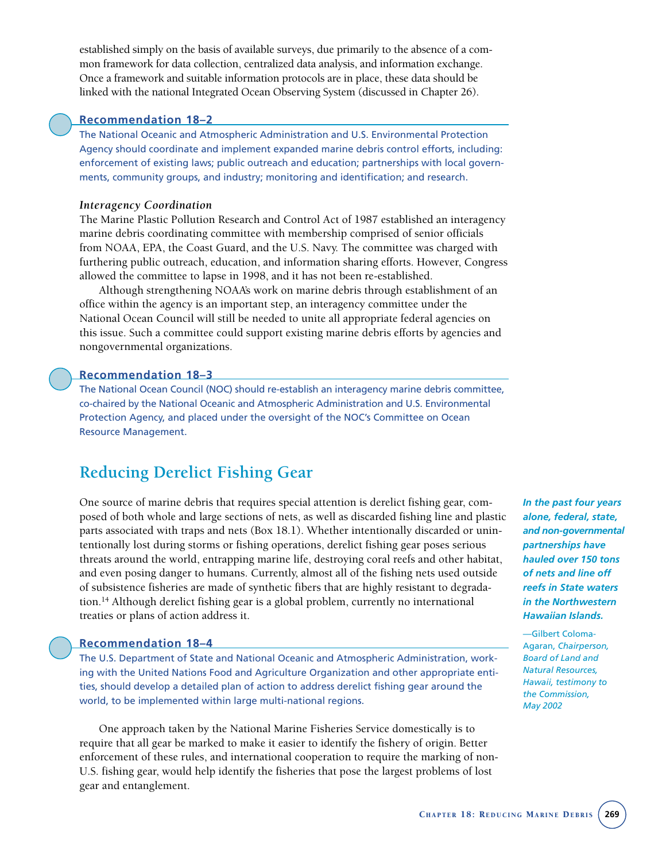established simply on the basis of available surveys, due primarily to the absence of a common framework for data collection, centralized data analysis, and information exchange. Once a framework and suitable information protocols are in place, these data should be linked with the national Integrated Ocean Observing System (discussed in Chapter 26).

#### **Recommendation 18–2**

The National Oceanic and Atmospheric Administration and U.S. Environmental Protection Agency should coordinate and implement expanded marine debris control efforts, including: enforcement of existing laws; public outreach and education; partnerships with local governments, community groups, and industry; monitoring and identification; and research.

#### *Interagency Coordination*

The Marine Plastic Pollution Research and Control Act of 1987 established an interagency marine debris coordinating committee with membership comprised of senior officials from NOAA, EPA, the Coast Guard, and the U.S. Navy. The committee was charged with furthering public outreach, education, and information sharing efforts. However, Congress allowed the committee to lapse in 1998, and it has not been re-established.

Although strengthening NOAA's work on marine debris through establishment of an office within the agency is an important step, an interagency committee under the National Ocean Council will still be needed to unite all appropriate federal agencies on this issue. Such a committee could support existing marine debris efforts by agencies and nongovernmental organizations.

#### **Recommendation 18–3**

The National Ocean Council (NOC) should re-establish an interagency marine debris committee, co-chaired by the National Oceanic and Atmospheric Administration and U.S. Environmental Protection Agency, and placed under the oversight of the NOC's Committee on Ocean Resource Management.

## **Reducing Derelict Fishing Gear**

One source of marine debris that requires special attention is derelict fishing gear, composed of both whole and large sections of nets, as well as discarded fishing line and plastic parts associated with traps and nets (Box 18.1). Whether intentionally discarded or unintentionally lost during storms or fishing operations, derelict fishing gear poses serious threats around the world, entrapping marine life, destroying coral reefs and other habitat, and even posing danger to humans. Currently, almost all of the fishing nets used outside of subsistence fisheries are made of synthetic fibers that are highly resistant to degradation.14 Although derelict fishing gear is a global problem, currently no international treaties or plans of action address it.

#### **Recommendation 18–4**

The U.S. Department of State and National Oceanic and Atmospheric Administration, working with the United Nations Food and Agriculture Organization and other appropriate entities, should develop a detailed plan of action to address derelict fishing gear around the world, to be implemented within large multi-national regions.

One approach taken by the National Marine Fisheries Service domestically is to require that all gear be marked to make it easier to identify the fishery of origin. Better enforcement of these rules, and international cooperation to require the marking of non-U.S. fishing gear, would help identify the fisheries that pose the largest problems of lost gear and entanglement.

*In the past four years alone, federal, state, and non-governmental partnerships have hauled over 150 tons of nets and line off reefs in State waters in the Northwestern Hawaiian Islands.* 

—Gilbert Coloma-Agaran, *Chairperson, Board of Land and Natural Resources, Hawaii, testimony to the Commission, May 2002*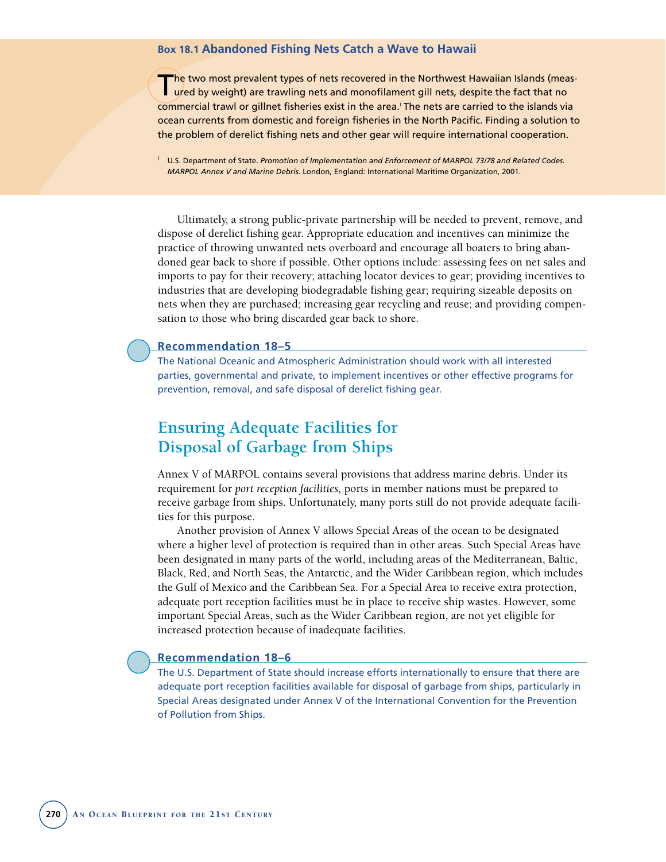#### **Box 18.1 Abandoned Fishing Nets Catch a Wave to Hawaii**

The two most prevalent types of nets recovered in the Northwest Hawaiian Islands (meas**ured by weight) are trawling nets and monofilament gill nets, despite the fact that no** commercial trawl or gillnet fisheries exist in the area.i The nets are carried to the islands via ocean currents from domestic and foreign fisheries in the North Pacific. Finding a solution to the problem of derelict fishing nets and other gear will require international cooperation.

*<sup>i</sup>* U.S. Department of State. *Promotion of Implementation and Enforcement of MARPOL 73/78 and Related Codes. MARPOL Annex V and Marine Debris.* London, England: International Maritime Organization, 2001.

Ultimately, a strong public-private partnership will be needed to prevent, remove, and dispose of derelict fishing gear. Appropriate education and incentives can minimize the practice of throwing unwanted nets overboard and encourage all boaters to bring abandoned gear back to shore if possible. Other options include: assessing fees on net sales and imports to pay for their recovery; attaching locator devices to gear; providing incentives to industries that are developing biodegradable fishing gear; requiring sizeable deposits on nets when they are purchased; increasing gear recycling and reuse; and providing compensation to those who bring discarded gear back to shore.

#### **Recommendation 18–5**

The National Oceanic and Atmospheric Administration should work with all interested parties, governmental and private, to implement incentives or other effective programs for prevention, removal, and safe disposal of derelict fishing gear.

# **Ensuring Adequate Facilities for Disposal of Garbage from Ships**

Annex V of MARPOL contains several provisions that address marine debris. Under its requirement for *port reception facilities,* ports in member nations must be prepared to receive garbage from ships. Unfortunately, many ports still do not provide adequate facilities for this purpose.

Another provision of Annex V allows Special Areas of the ocean to be designated where a higher level of protection is required than in other areas. Such Special Areas have been designated in many parts of the world, including areas of the Mediterranean, Baltic, Black, Red, and North Seas, the Antarctic, and the Wider Caribbean region, which includes the Gulf of Mexico and the Caribbean Sea. For a Special Area to receive extra protection, adequate port reception facilities must be in place to receive ship wastes. However, some important Special Areas, such as the Wider Caribbean region, are not yet eligible for increased protection because of inadequate facilities.

#### **Recommendation 18–6**

The U.S. Department of State should increase efforts internationally to ensure that there are adequate port reception facilities available for disposal of garbage from ships, particularly in Special Areas designated under Annex V of the International Convention for the Prevention of Pollution from Ships.